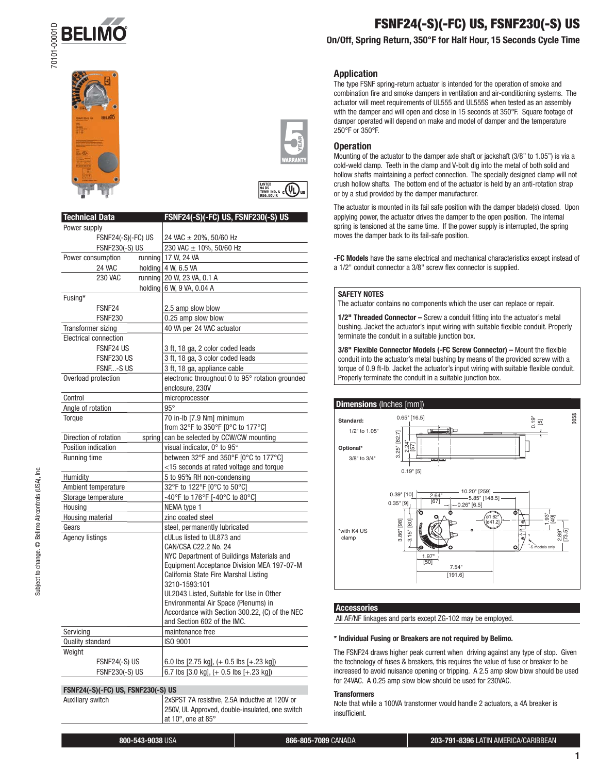





**LISTED**<br>TEMP IND. & COL

| <b>Technical Data</b>        |        | FSNF24(-S)(-FC) US, FSNF230(-S) US                |
|------------------------------|--------|---------------------------------------------------|
| Power supply                 |        |                                                   |
| <b>FSNF24(-S)(-FC) US</b>    |        | 24 VAC ± 20%, 50/60 Hz                            |
| <b>FSNF230(-S) US</b>        |        | 230 VAC ± 10%, 50/60 Hz                           |
| Power consumption            |        | running 17 W, 24 VA                               |
| 24 VAC                       |        | holding 4 W, 6.5 VA                               |
| 230 VAC                      |        | running 20 W, 23 VA, 0.1 A                        |
|                              |        | holding 6 W, 9 VA, 0.04 A                         |
| Fusing*                      |        |                                                   |
| FSNF <sub>24</sub>           |        | 2.5 amp slow blow                                 |
| <b>FSNF230</b>               |        | 0.25 amp slow blow                                |
| Transformer sizing           |        | 40 VA per 24 VAC actuator                         |
| <b>Electrical connection</b> |        |                                                   |
| FSNF24 US                    |        | 3 ft, 18 ga, 2 color coded leads                  |
| FSNF230 US                   |        | 3 ft, 18 ga, 3 color coded leads                  |
| FSNF-S US                    |        | 3 ft, 18 ga, appliance cable                      |
| Overload protection          |        | electronic throughout 0 to 95° rotation grounded  |
|                              |        | enclosure, 230V                                   |
| Control                      |        | microprocessor                                    |
| Angle of rotation            |        | $95^\circ$                                        |
| Torque                       |        | 70 in-lb [7.9 Nm] minimum                         |
|                              |        | from 32°F to 350°F [0°C to 177°C]                 |
| Direction of rotation        | spring | can be selected by CCW/CW mounting                |
| Position indication          |        | visual indicator, 0° to 95°                       |
| Running time                 |        | between 32°F and 350°F [0°C to 177°C]             |
|                              |        | <15 seconds at rated voltage and torque           |
| Humidity                     |        | 5 to 95% RH non-condensing                        |
| Ambient temperature          |        | 32°F to 122°F [0°C to 50°C]                       |
| Storage temperature          |        | -40°F to 176°F [-40°C to 80°C]                    |
| Housing                      |        | NEMA type 1                                       |
| Housing material             |        | zinc coated steel                                 |
| Gears                        |        | steel, permanently lubricated                     |
| <b>Agency listings</b>       |        | cULus listed to UL873 and<br>CAN/CSA C22.2 No. 24 |
|                              |        | NYC Department of Buildings Materials and         |
|                              |        | Equipment Acceptance Division MEA 197-07-M        |
|                              |        | California State Fire Marshal Listing             |
|                              |        | 3210-1593:101                                     |
|                              |        | UL2043 Listed, Suitable for Use in Other          |
|                              |        | Environmental Air Space (Plenums) in              |
|                              |        | Accordance with Section 300.22, (C) of the NEC    |
|                              |        | and Section 602 of the IMC.                       |
| Servicing                    |        | maintenance free                                  |
| Quality standard             |        | ISO 9001                                          |
| Weight                       |        |                                                   |
| FSNF24(-S) US                |        | 6.0 lbs [2.75 kg], (+ 0.5 lbs [+.23 kg])          |
| <b>FSNF230(-S) US</b>        |        | 6.7 lbs [3.0 kg], (+ 0.5 lbs [+.23 kg])           |

#### **FSNF24(-S)(-FC) US, FSNF230(-S) US**

Auxiliary switch 2xSPST 7A resistive, 2.5A inductive at 120V or 250V, UL Approved, double-insulated, one switch at 10°, one at 85°

**FSNF24(-S)(-FC) US, FSNF230(-S) US**

# **On/Off, Spring Return, 350°F for Half Hour, 15 Seconds Cycle Time**

#### **Application**

The type FSNF spring-return actuator is intended for the operation of smoke and combination fire and smoke dampers in ventilation and air-conditioning systems. The actuator will meet requirements of UL555 and UL555S when tested as an assembly with the damper and will open and close in 15 seconds at 350°F. Square footage of damper operated will depend on make and model of damper and the temperature 250°F or 350°F.

#### **Operation**

Mounting of the actuator to the damper axle shaft or jackshaft (3/8" to 1.05") is via a cold-weld clamp. Teeth in the clamp and V-bolt dig into the metal of both solid and hollow shafts maintaining a perfect connection. The specially designed clamp will not crush hollow shafts. The bottom end of the actuator is held by an anti-rotation strap or by a stud provided by the damper manufacturer.

The actuator is mounted in its fail safe position with the damper blade(s) closed. Upon applying power, the actuator drives the damper to the open position. The internal spring is tensioned at the same time. If the power supply is interrupted, the spring moves the damper back to its fail-safe position.

**-FC Models** have the same electrical and mechanical characteristics except instead of a 1/2" conduit connector a 3/8" screw flex connector is supplied.

#### **SAFETY NOTES**

The actuator contains no components which the user can replace or repair.

**1/2" Threaded Connector - Screw a conduit fitting into the actuator's metal** bushing. Jacket the actuator's input wiring with suitable flexible conduit. Properly terminate the conduit in a suitable junction box.

3/8" Flexible Connector Models (-FC Screw Connector) - Mount the flexible conduit into the actuator's metal bushing by means of the provided screw with a torque of 0.9 ft-lb. Jacket the actuator's input wiring with suitable flexible conduit. Properly terminate the conduit in a suitable junction box.



**Accessories**

All AF/NF linkages and parts except ZG-102 may be employed.

#### **\* Individual Fusing or Breakers are not required by Belimo.**

The FSNF24 draws higher peak current when driving against any type of stop. Given the technology of fuses & breakers, this requires the value of fuse or breaker to be increased to avoid nuisance opening or tripping. A 2.5 amp slow blow should be used for 24VAC. A 0.25 amp slow blow should be used for 230VAC.

#### **Transformers**

Note that while a 100VA transformer would handle 2 actuators, a 4A breaker is insufficient.